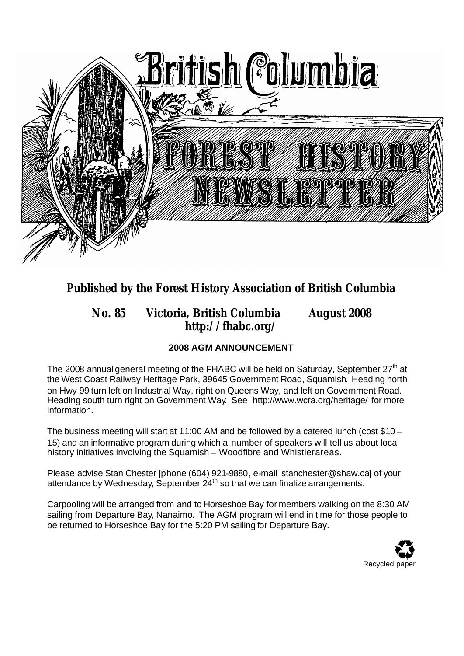

# **Published by the Forest History Association of British Columbia**

## **No. 85 Victoria, British Columbia August 2008 http://fhabc.org/**

## **2008 AGM ANNOUNCEMENT**

The 2008 annual general meeting of the FHABC will be held on Saturday, September 27<sup>th</sup> at the West Coast Railway Heritage Park, 39645 Government Road, Squamish. Heading north on Hwy 99 turn left on Industrial Way, right on Queens Way, and left on Government Road. Heading south turn right on Government Way. See http://www.wcra.org/heritage/ for more information.

The business meeting will start at 11:00 AM and be followed by a catered lunch (cost \$10 – 15) and an informative program during which a number of speakers will tell us about local history initiatives involving the Squamish – Woodfibre and Whistlerareas.

Please advise Stan Chester [phone (604) 921-9880, e-mail stanchester@shaw.ca] of your attendance by Wednesday, September  $24<sup>th</sup>$  so that we can finalize arrangements.

Carpooling will be arranged from and to Horseshoe Bay for members walking on the 8:30 AM sailing from Departure Bay, Nanaimo. The AGM program will end in time for those people to be returned to Horseshoe Bay for the 5:20 PM sailing for Departure Bay.

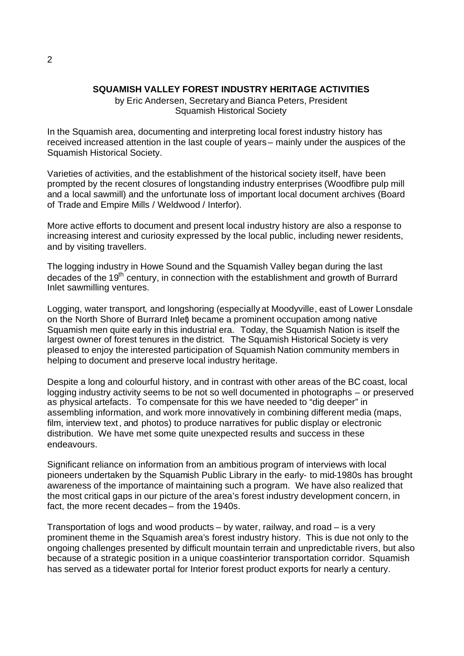#### **SQUAMISH VALLEY FOREST INDUSTRY HERITAGE ACTIVITIES**

by Eric Andersen, Secretary and Bianca Peters, President Squamish Historical Society

In the Squamish area, documenting and interpreting local forest industry history has received increased attention in the last couple of years – mainly under the auspices of the Squamish Historical Society.

Varieties of activities, and the establishment of the historical society itself, have been prompted by the recent closures of longstanding industry enterprises (Woodfibre pulp mill and a local sawmill) and the unfortunate loss of important local document archives (Board of Trade and Empire Mills / Weldwood / Interfor).

More active efforts to document and present local industry history are also a response to increasing interest and curiosity expressed by the local public, including newer residents, and by visiting travellers.

The logging industry in Howe Sound and the Squamish Valley began during the last decades of the 19<sup>th</sup> century, in connection with the establishment and growth of Burrard Inlet sawmilling ventures.

Logging, water transport, and longshoring (especially at Moodyville, east of Lower Lonsdale on the North Shore of Burrard Inlet) became a prominent occupation among native Squamish men quite early in this industrial era. Today, the Squamish Nation is itself the largest owner of forest tenures in the district. The Squamish Historical Society is very pleased to enjoy the interested participation of Squamish Nation community members in helping to document and preserve local industry heritage.

Despite a long and colourful history, and in contrast with other areas of the BC coast, local logging industry activity seems to be not so well documented in photographs – or preserved as physical artefacts. To compensate for this we have needed to "dig deeper" in assembling information, and work more innovatively in combining different media (maps, film, interview text, and photos) to produce narratives for public display or electronic distribution. We have met some quite unexpected results and success in these endeavours.

Significant reliance on information from an ambitious program of interviews with local pioneers undertaken by the Squamish Public Library in the early- to mid-1980s has brought awareness of the importance of maintaining such a program. We have also realized that the most critical gaps in our picture of the area's forest industry development concern, in fact, the more recent decades – from the 1940s.

Transportation of logs and wood products – by water, railway, and road – is a very prominent theme in the Squamish area's forest industry history. This is due not only to the ongoing challenges presented by difficult mountain terrain and unpredictable rivers, but also because of a strategic position in a unique coast-interior transportation corridor. Squamish has served as a tidewater portal for Interior forest product exports for nearly a century.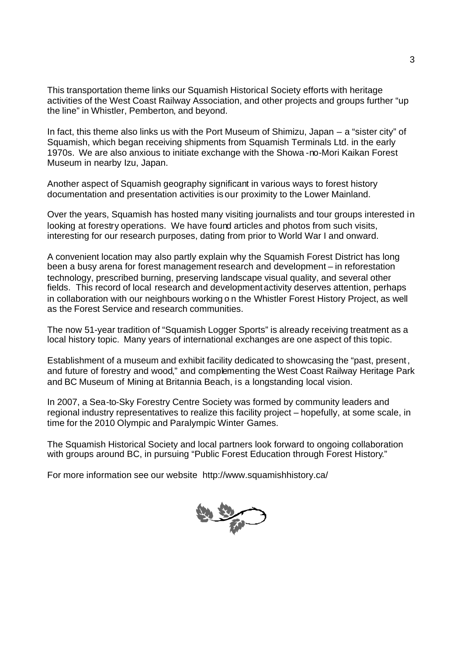This transportation theme links our Squamish Historical Society efforts with heritage activities of the West Coast Railway Association, and other projects and groups further "up the line" in Whistler, Pemberton, and beyond.

In fact, this theme also links us with the Port Museum of Shimizu, Japan – a "sister city" of Squamish, which began receiving shipments from Squamish Terminals Ltd. in the early 1970s. We are also anxious to initiate exchange with the Showa -no-Mori Kaikan Forest Museum in nearby Izu, Japan.

Another aspect of Squamish geography significant in various ways to forest history documentation and presentation activities is our proximity to the Lower Mainland.

Over the years, Squamish has hosted many visiting journalists and tour groups interested in looking at forestry operations. We have found articles and photos from such visits, interesting for our research purposes, dating from prior to World War I and onward.

A convenient location may also partly explain why the Squamish Forest District has long been a busy arena for forest management research and development – in reforestation technology, prescribed burning, preserving landscape visual quality, and several other fields. This record of local research and development activity deserves attention, perhaps in collaboration with our neighbours working o n the Whistler Forest History Project, as well as the Forest Service and research communities.

The now 51-year tradition of "Squamish Logger Sports" is already receiving treatment as a local history topic. Many years of international exchanges are one aspect of this topic.

Establishment of a museum and exhibit facility dedicated to showcasing the "past, present, and future of forestry and wood," and complementing the West Coast Railway Heritage Park and BC Museum of Mining at Britannia Beach, is a longstanding local vision.

In 2007, a Sea-to-Sky Forestry Centre Society was formed by community leaders and regional industry representatives to realize this facility project – hopefully, at some scale, in time for the 2010 Olympic and Paralympic Winter Games.

The Squamish Historical Society and local partners look forward to ongoing collaboration with groups around BC, in pursuing "Public Forest Education through Forest History."

For more information see our website http://www.squamishhistory.ca/

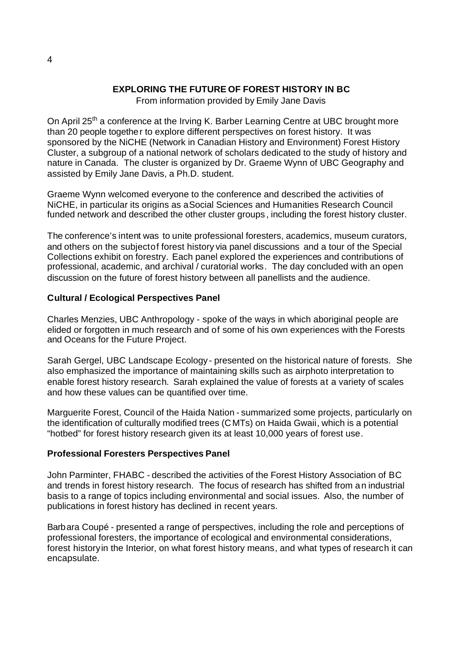## **EXPLORING THE FUTURE OF FOREST HISTORY IN BC**

From information provided by Emily Jane Davis

On April 25<sup>th</sup> a conference at the Irving K. Barber Learning Centre at UBC brought more than 20 people together to explore different perspectives on forest history. It was sponsored by the NiCHE (Network in Canadian History and Environment) Forest History Cluster, a subgroup of a national network of scholars dedicated to the study of history and nature in Canada. The cluster is organized by Dr. Graeme Wynn of UBC Geography and assisted by Emily Jane Davis, a Ph.D. student.

Graeme Wynn welcomed everyone to the conference and described the activities of NiCHE, in particular its origins as a Social Sciences and Humanities Research Council funded network and described the other cluster groups , including the forest history cluster.

The conference's intent was to unite professional foresters, academics, museum curators, and others on the subjectof forest history via panel discussions and a tour of the Special Collections exhibit on forestry. Each panel explored the experiences and contributions of professional, academic, and archival / curatorial works. The day concluded with an open discussion on the future of forest history between all panellists and the audience.

## **Cultural / Ecological Perspectives Panel**

Charles Menzies, UBC Anthropology - spoke of the ways in which aboriginal people are elided or forgotten in much research and of some of his own experiences with the Forests and Oceans for the Future Project.

Sarah Gergel, UBC Landscape Ecology - presented on the historical nature of forests. She also emphasized the importance of maintaining skills such as airphoto interpretation to enable forest history research. Sarah explained the value of forests at a variety of scales and how these values can be quantified over time.

Marguerite Forest, Council of the Haida Nation - summarized some projects, particularly on the identification of culturally modified trees (CMTs) on Haida Gwaii, which is a potential "hotbed" for forest history research given its at least 10,000 years of forest use.

#### **Professional Foresters Perspectives Panel**

John Parminter, FHABC - described the activities of the Forest History Association of BC and trends in forest history research. The focus of research has shifted from an industrial basis to a range of topics including environmental and social issues. Also, the number of publications in forest history has declined in recent years.

Barbara Coupé - presented a range of perspectives, including the role and perceptions of professional foresters, the importance of ecological and environmental considerations, forest history in the Interior, on what forest history means, and what types of research it can encapsulate.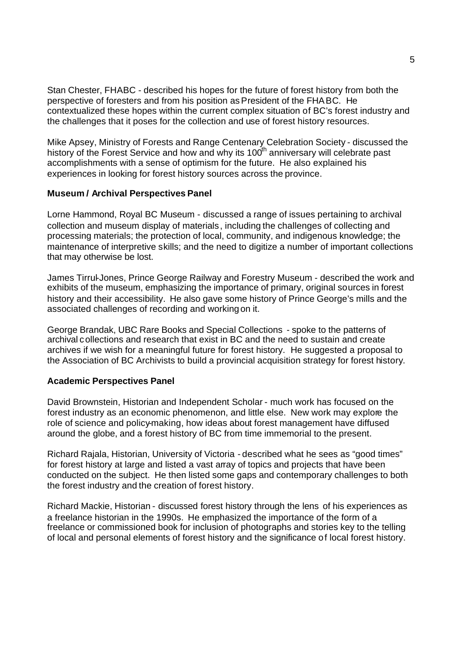Stan Chester, FHABC - described his hopes for the future of forest history from both the perspective of foresters and from his position as President of the FHABC. He contextualized these hopes within the current complex situation of BC's forest industry and the challenges that it poses for the collection and use of forest history resources.

Mike Apsey, Ministry of Forests and Range Centenary Celebration Society - discussed the history of the Forest Service and how and why its 100<sup>th</sup> anniversary will celebrate past accomplishments with a sense of optimism for the future. He also explained his experiences in looking for forest history sources across the province.

#### **Museum / Archival Perspectives Panel**

Lorne Hammond, Royal BC Museum - discussed a range of issues pertaining to archival collection and museum display of materials , including the challenges of collecting and processing materials; the protection of local, community, and indigenous knowledge; the maintenance of interpretive skills; and the need to digitize a number of important collections that may otherwise be lost.

James Tirrul-Jones, Prince George Railway and Forestry Museum - described the work and exhibits of the museum, emphasizing the importance of primary, original sources in forest history and their accessibility. He also gave some history of Prince George's mills and the associated challenges of recording and working on it.

George Brandak, UBC Rare Books and Special Collections - spoke to the patterns of archival collections and research that exist in BC and the need to sustain and create archives if we wish for a meaningful future for forest history. He suggested a proposal to the Association of BC Archivists to build a provincial acquisition strategy for forest history.

#### **Academic Perspectives Panel**

David Brownstein, Historian and Independent Scholar - much work has focused on the forest industry as an economic phenomenon, and little else. New work may explore the role of science and policy-making, how ideas about forest management have diffused around the globe, and a forest history of BC from time immemorial to the present.

Richard Rajala, Historian, University of Victoria - described what he sees as "good times" for forest history at large and listed a vast array of topics and projects that have been conducted on the subject. He then listed some gaps and contemporary challenges to both the forest industry and the creation of forest history.

Richard Mackie, Historian - discussed forest history through the lens of his experiences as a freelance historian in the 1990s. He emphasized the importance of the form of a freelance or commissioned book for inclusion of photographs and stories key to the telling of local and personal elements of forest history and the significance of local forest history.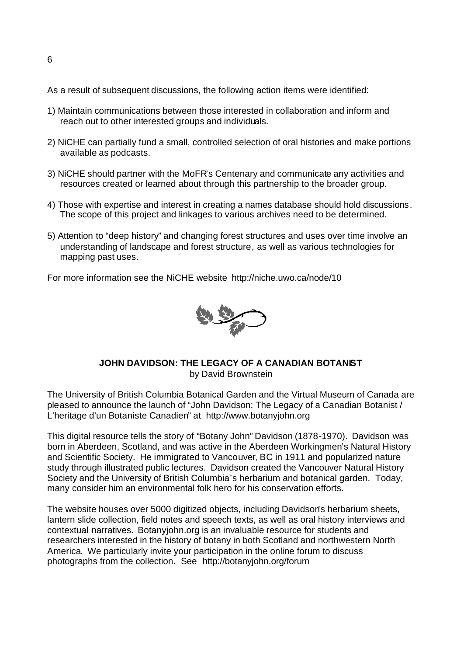As a result of subsequent discussions, the following action items were identified:

- 1) Maintain communications between those interested in collaboration and inform and reach out to other interested groups and individuals.
- 2) NiCHE can partially fund a small, controlled selection of oral histories and make portions available as podcasts.
- 3) NiCHE should partner with the MoFR's Centenary and communicate any activities and resources created or learned about through this partnership to the broader group.
- 4) Those with expertise and interest in creating a names database should hold discussions. The scope of this project and linkages to various archives need to be determined.
- 5) Attention to "deep history" and changing forest structures and uses over time involve an understanding of landscape and forest structure, as well as various technologies for mapping past uses.

For more information see the NiCHE website http://niche.uwo.ca/node/10



#### **JOHN DAVIDSON: THE LEGACY OF A CANADIAN BOTANIST** by David Brownstein

The University of British Columbia Botanical Garden and the Virtual Museum of Canada are pleased to announce the launch of "John Davidson: The Legacy of a Canadian Botanist / L'heritage d'un Botaniste Canadien" at http://www.botanyjohn.org

This digital resource tells the story of "Botany John" Davidson (1878-1970). Davidson was born in Aberdeen, Scotland, and was active in the Aberdeen Workingmen's Natural History and Scientific Society. He immigrated to Vancouver, BC in 1911 and popularized nature study through illustrated public lectures. Davidson created the Vancouver Natural History Society and the University of British Columbia's herbarium and botanical garden. Today, many consider him an environmental folk hero for his conservation efforts.

The website houses over 5000 digitized objects, including Davidson's herbarium sheets, lantern slide collection, field notes and speech texts, as well as oral history interviews and contextual narratives. Botanyjohn.org is an invaluable resource for students and researchers interested in the history of botany in both Scotland and northwestern North America. We particularly invite your participation in the online forum to discuss photographs from the collection. See http://botanyjohn.org/forum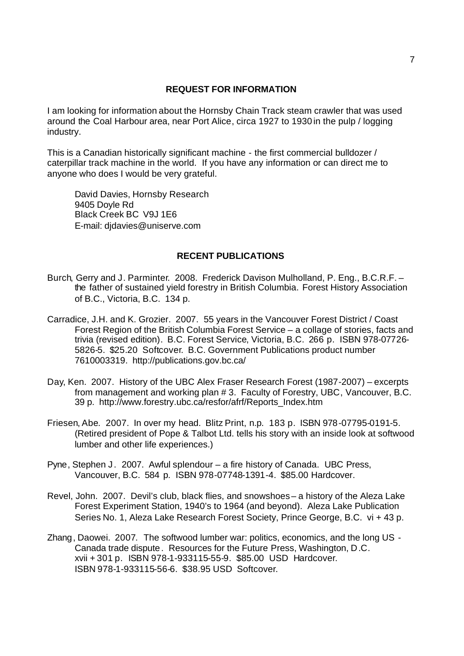#### **REQUEST FOR INFORMATION**

I am looking for information about the Hornsby Chain Track steam crawler that was used around the Coal Harbour area, near Port Alice, circa 1927 to 1930 in the pulp / logging industry.

This is a Canadian historically significant machine - the first commercial bulldozer / caterpillar track machine in the world. If you have any information or can direct me to anyone who does I would be very grateful.

David Davies, Hornsby Research 9405 Doyle Rd Black Creek BC V9J 1E6 E-mail: djdavies@uniserve.com

#### **RECENT PUBLICATIONS**

- Burch, Gerry and J. Parminter. 2008. Frederick Davison Mulholland, P. Eng., B.C.R.F. the father of sustained yield forestry in British Columbia. Forest History Association of B.C., Victoria, B.C. 134 p.
- Carradice, J.H. and K. Grozier. 2007. 55 years in the Vancouver Forest District / Coast Forest Region of the British Columbia Forest Service – a collage of stories, facts and trivia (revised edition). B.C. Forest Service, Victoria, B.C. 266 p. ISBN 978-07726- 5826-5. \$25.20 Softcover. B.C. Government Publications product number 7610003319. http://publications.gov.bc.ca/
- Day, Ken. 2007. History of the UBC Alex Fraser Research Forest (1987-2007) excerpts from management and working plan # 3. Faculty of Forestry, UBC, Vancouver, B.C. 39 p. http://www.forestry.ubc.ca/resfor/afrf/Reports\_Index.htm
- Friesen, Abe. 2007. In over my head. Blitz Print, n.p. 183 p. ISBN 978-07795-0191-5. (Retired president of Pope & Talbot Ltd. tells his story with an inside look at softwood lumber and other life experiences.)
- Pyne, Stephen J. 2007. Awful splendour  $-$  a fire history of Canada. UBC Press, Vancouver, B.C. 584 p. ISBN 978-07748-1391-4. \$85.00 Hardcover.
- Revel, John. 2007. Devil's club, black flies, and snowshoes a history of the Aleza Lake Forest Experiment Station, 1940's to 1964 (and beyond). Aleza Lake Publication Series No. 1, Aleza Lake Research Forest Society, Prince George, B.C. vi + 43 p.
- Zhang, Daowei. 2007. The softwood lumber war: politics, economics, and the long US Canada trade dispute. Resources for the Future Press, Washington, D.C. xvii + 301 p. ISBN 978-1-933115-55-9. \$85.00 USD Hardcover. ISBN 978-1-933115-56-6. \$38.95 USD Softcover.